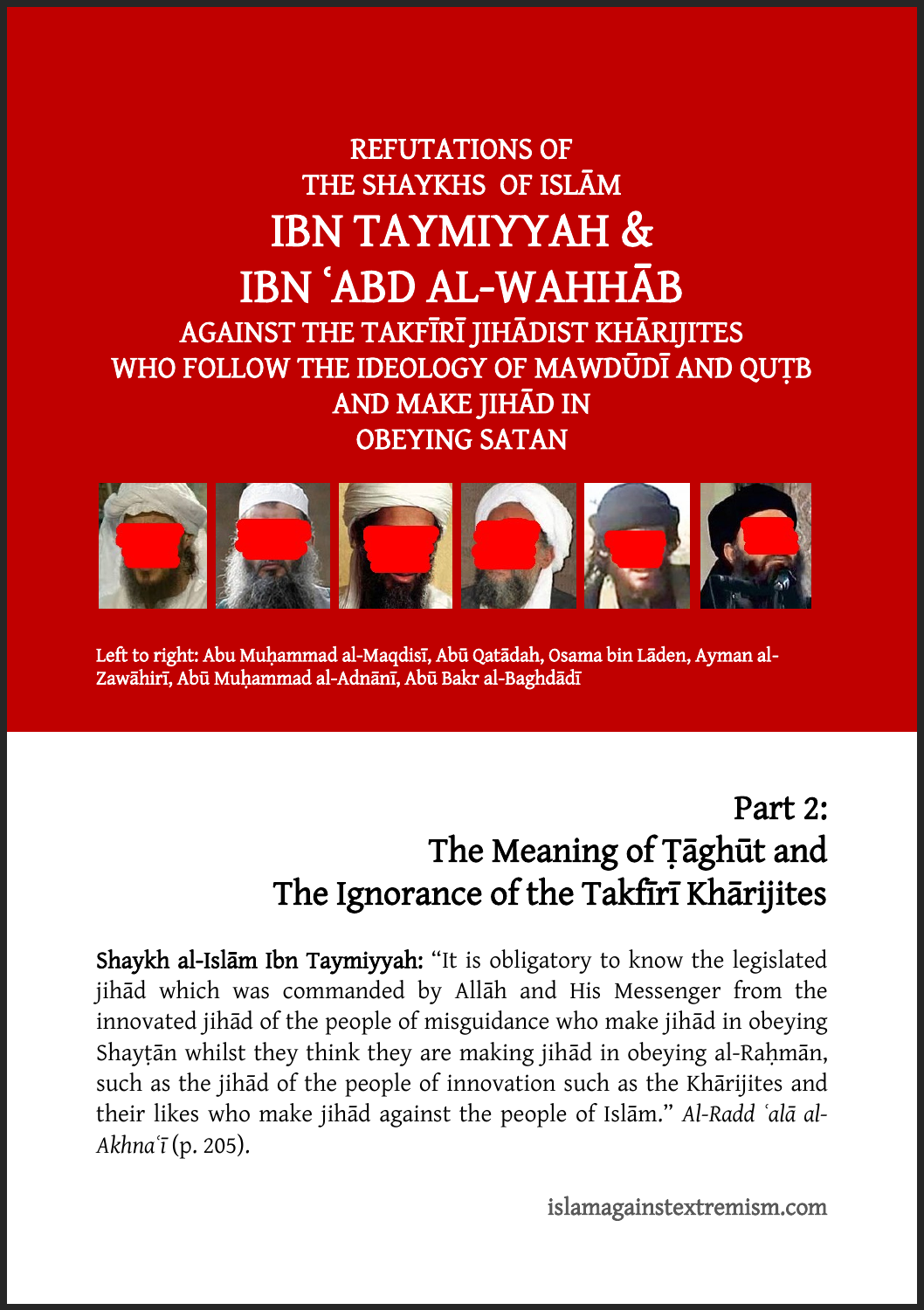## REFUTATIONS OF THE SHAYKHS OF ISLĀM IBN TAYMIYYAH & IBN ʿABD AL-WAHHĀB AGAINST THE TAKFĪRĪ JIHĀDIST KHĀRIJITES WHO FOLLOW THE IDEOLOGY OF MAWDŪDĪ AND QUTB AND MAKE JIHĀD IN OBEYING SATAN



Left to right: Abu Muhammad al-Maqdisī, Abū Qatādah, Osama bin Lāden, Ayman al-Zawāhirī, Abū Muḥammad al-Adnānī, Abū Bakr al-Baghdādī

Ī

# Part 2: The Meaning of Ṭāghūt and The Ignorance of the Takfīrī Khārijites

Shaykh al-Islām Ibn Taymiyyah: "It is obligatory to know the legislated jihād which was commanded by Allāh and His Messenger from the innovated jihād of the people of misguidance who make jihād in obeying Shaytān whilst they think they are making jihād in obeying al-Rahmān, such as the jihād of the people of innovation such as the Khārijites and their likes who make jihād against the people of Islām." *Al-Radd ʿalā al-Akhnaʿī* (p. 205).

islamagainstextremism.com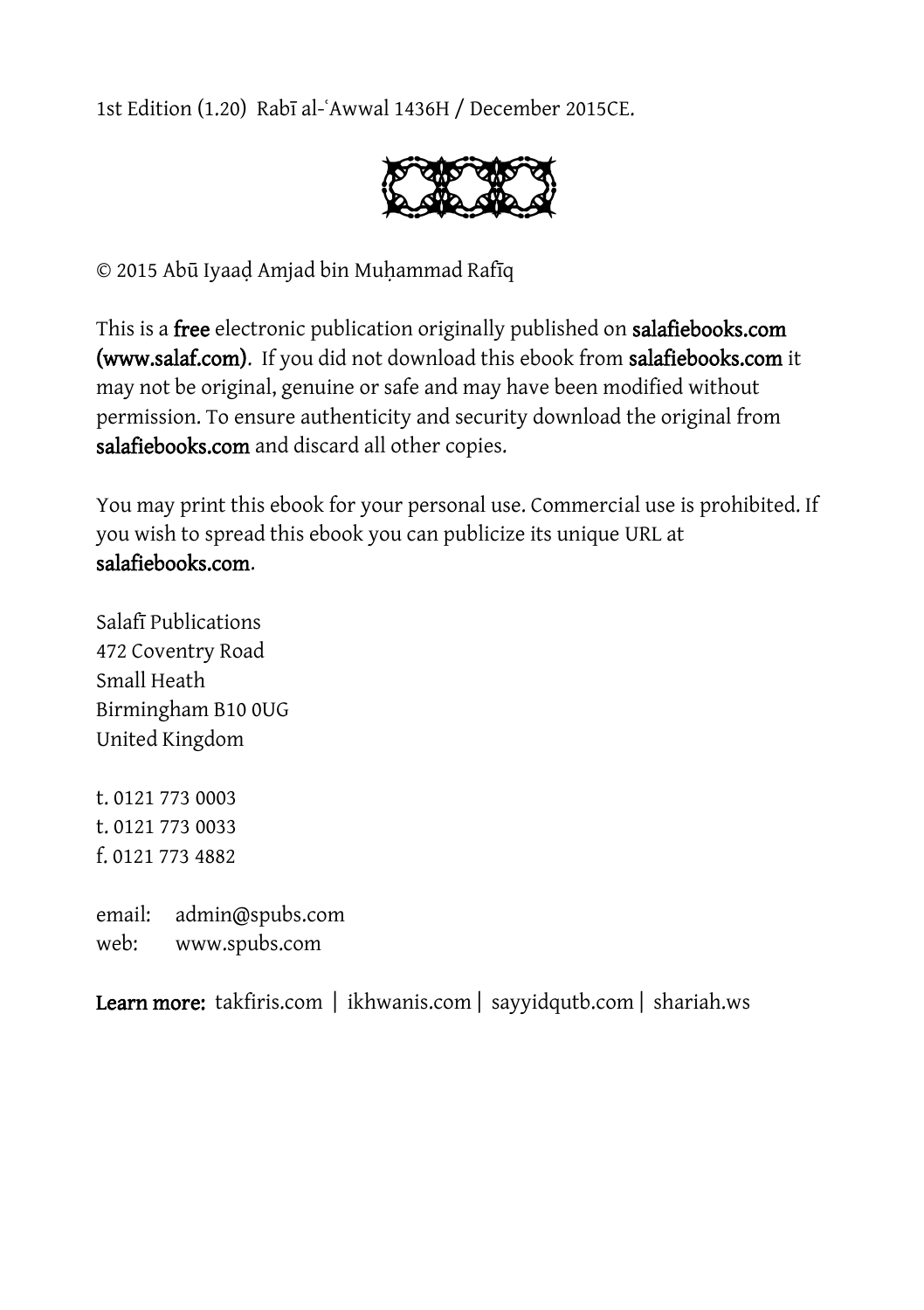1st Edition (1.20) Rabī al-ʿAwwal 1436H / December 2015CE.



© 2015 Abū Iyaaḍ Amjad bin Muḥammad Rafīq

This is a free electronic publication originally published on salafiebooks.com (www.salaf.com). If you did not download this ebook from salafiebooks.com it may not be original, genuine or safe and may have been modified without permission. To ensure authenticity and security download the original from salafiebooks.com and discard all other copies.

You may print this ebook for your personal use. Commercial use is prohibited. If you wish to spread this ebook you can publicize its unique URL at salafiebooks.com.

Salafī Publications 472 Coventry Road Small Heath Birmingham B10 0UG United Kingdom

t. 0121 773 0003 t. 0121 773 0033 f. 0121 773 4882

email: admin@spubs.com web: www.spubs.com

Learn more: takfiris.com | ikhwanis.com | sayyidqutb.com | shariah.ws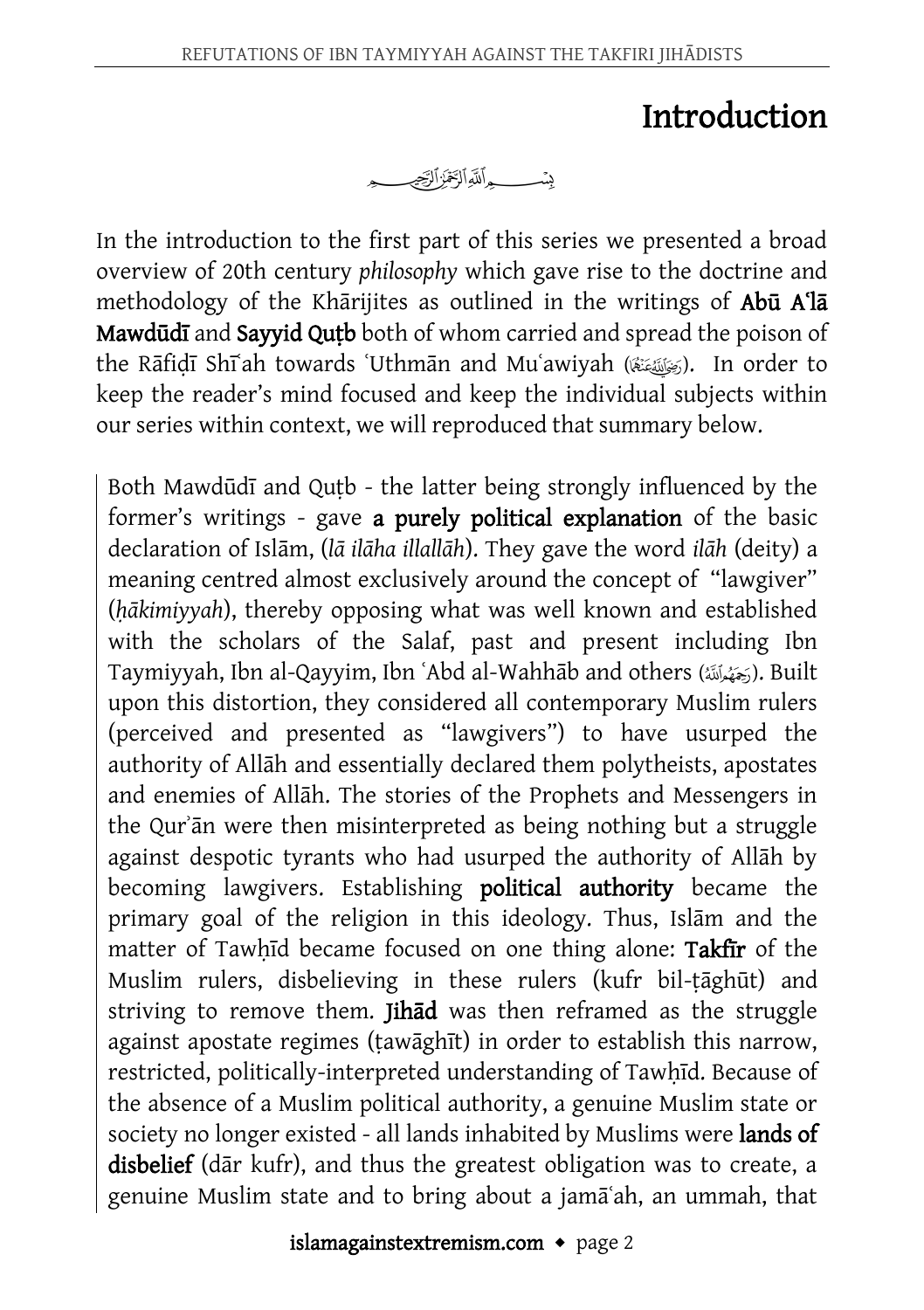### Introduction

In the introduction to the first part of this series we presented a broad overview of 20th century *philosophy* which gave rise to the doctrine and methodology of the Khārijites as outlined in the writings of Abū A<sup>1</sup>a Mawdūdī and Sayyid Qutb both of whom carried and spread the poison of the Rāfidī Shīʻah towards 'Uthmān and Muʿawiyah (رَضَلَقَتِهَا). In order to keep the reader's mind focused and keep the individual subjects within our series within context, we will reproduced that summary below.

Both Mawdūdī and Quṭb - the latter being strongly influenced by the former's writings - gave a purely political explanation of the basic declaration of Islām, (*lā ilāha illallāh*). They gave the word *ilāh* (deity) a meaning centred almost exclusively around the concept of "lawgiver" (*ḥākimiyyah*), thereby opposing what was well known and established with the scholars of the Salaf, past and present including Ibn Taymiyyah, Ibn al-Qayyim, Ibn ʿAbd al-Wahhāb and others (). Built upon this distortion, they considered all contemporary Muslim rulers (perceived and presented as "lawgivers") to have usurped the authority of Allāh and essentially declared them polytheists, apostates and enemies of Allāh. The stories of the Prophets and Messengers in the Qurʾān were then misinterpreted as being nothing but a struggle against despotic tyrants who had usurped the authority of Allāh by becoming lawgivers. Establishing political authority became the primary goal of the religion in this ideology. Thus, Islām and the matter of Tawhid became focused on one thing alone: Takfir of the Muslim rulers, disbelieving in these rulers (kufr bil-ṭāghūt) and striving to remove them. Jihad was then reframed as the struggle against apostate regimes (ṭawāghīt) in order to establish this narrow, restricted, politically-interpreted understanding of Tawḥīd. Because of the absence of a Muslim political authority, a genuine Muslim state or society no longer existed - all lands inhabited by Muslims were **lands of** disbelief (dār kufr), and thus the greatest obligation was to create, a genuine Muslim state and to bring about a jamāʿah, an ummah, that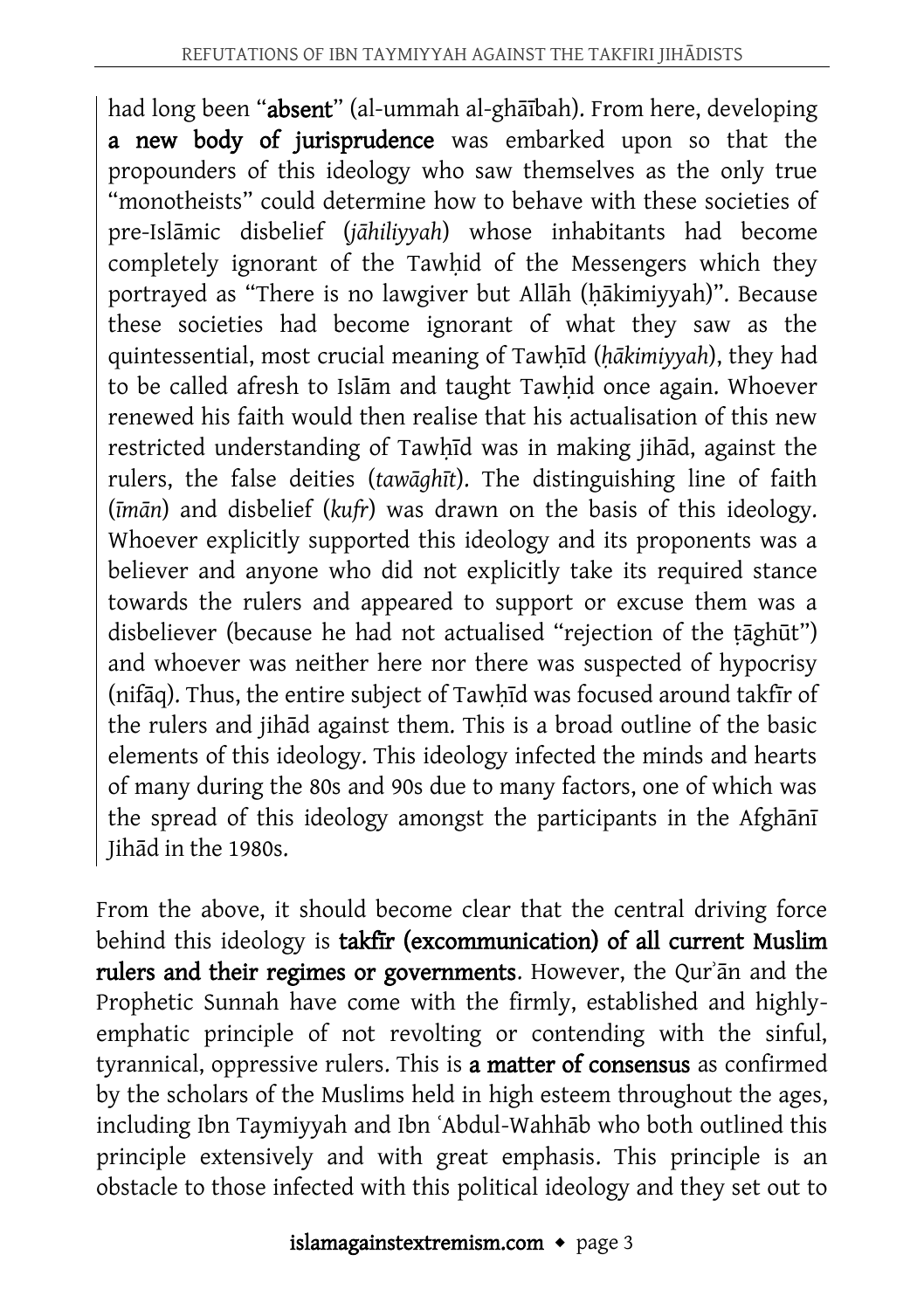had long been "absent" (al-ummah al-ghāībah). From here, developing a new body of jurisprudence was embarked upon so that the propounders of this ideology who saw themselves as the only true "monotheists" could determine how to behave with these societies of pre-Islāmic disbelief (*jāhiliyyah*) whose inhabitants had become completely ignorant of the Tawhid of the Messengers which they portrayed as "There is no lawgiver but Allāh (ḥākimiyyah)". Because these societies had become ignorant of what they saw as the quintessential, most crucial meaning of Tawhīd (*hākimiyyah*), they had to be called afresh to Islām and taught Tawhid once again. Whoever renewed his faith would then realise that his actualisation of this new restricted understanding of Tawhīd was in making jihād, against the rulers, the false deities (*tawāghīt*). The distinguishing line of faith (*īmān*) and disbelief (*kufr*) was drawn on the basis of this ideology. Whoever explicitly supported this ideology and its proponents was a believer and anyone who did not explicitly take its required stance towards the rulers and appeared to support or excuse them was a disbeliever (because he had not actualised "rejection of the tāghūt") and whoever was neither here nor there was suspected of hypocrisy (nifāq). Thus, the entire subject of Tawḥīd was focused around takfīr of the rulers and jihād against them. This is a broad outline of the basic elements of this ideology. This ideology infected the minds and hearts of many during the 80s and 90s due to many factors, one of which was the spread of this ideology amongst the participants in the Afghānī Jihād in the 1980s.

From the above, it should become clear that the central driving force behind this ideology is takfīr (excommunication) of all current Muslim rulers and their regimes or governments. However, the Qurʾān and the Prophetic Sunnah have come with the firmly, established and highlyemphatic principle of not revolting or contending with the sinful, tyrannical, oppressive rulers. This is a matter of consensus as confirmed by the scholars of the Muslims held in high esteem throughout the ages, including Ibn Taymiyyah and Ibn ʿAbdul-Wahhāb who both outlined this principle extensively and with great emphasis. This principle is an obstacle to those infected with this political ideology and they set out to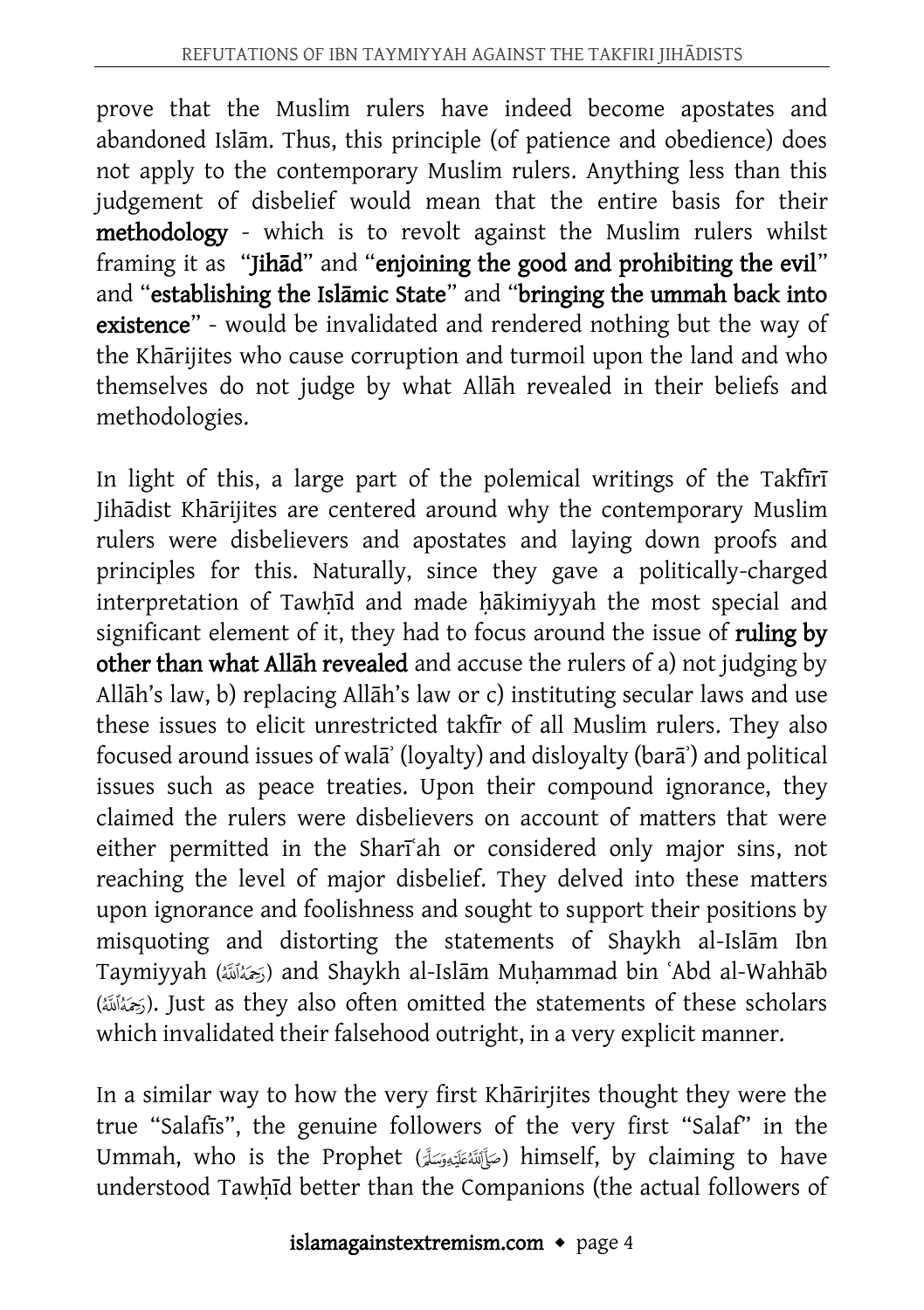prove that the Muslim rulers have indeed become apostates and abandoned Islām. Thus, this principle (of patience and obedience) does not apply to the contemporary Muslim rulers. Anything less than this judgement of disbelief would mean that the entire basis for their methodology - which is to revolt against the Muslim rulers whilst framing it as "Jihād" and "enjoining the good and prohibiting the evil" and "establishing the Islāmic State" and "bringing the ummah back into existence" - would be invalidated and rendered nothing but the way of the Khārijites who cause corruption and turmoil upon the land and who themselves do not judge by what Allāh revealed in their beliefs and methodologies.

In light of this, a large part of the polemical writings of the Takfīrī Jihādist Khārijites are centered around why the contemporary Muslim rulers were disbelievers and apostates and laying down proofs and principles for this. Naturally, since they gave a politically-charged interpretation of Tawhīd and made hākimiyyah the most special and significant element of it, they had to focus around the issue of ruling by other than what Allāh revealed and accuse the rulers of a) not judging by Allāh's law, b) replacing Allāh's law or c) instituting secular laws and use these issues to elicit unrestricted takfīr of all Muslim rulers. They also focused around issues of walāʾ (loyalty) and disloyalty (barāʾ) and political issues such as peace treaties. Upon their compound ignorance, they claimed the rulers were disbelievers on account of matters that were either permitted in the Shari<sup>ah</sup> or considered only major sins, not reaching the level of major disbelief. They delved into these matters upon ignorance and foolishness and sought to support their positions by misquoting and distorting the statements of Shaykh al-Islām Ibn Taymiyyah (خَمَانَة) and Shaykh al-Islām Muhammad bin ʿAbd al-Wahhāb (خَمَأَلَكَ). Just as they also often omitted the statements of these scholars which invalidated their falsehood outright, in a very explicit manner.

In a similar way to how the very first Khārirjites thought they were the true "Salafīs", the genuine followers of the very first "Salaf" in the Ummah, who is the Prophet (صَأَلَلْهُ عَلَيْهِ صَلَّى) himself, by claiming to have understood Tawhīd better than the Companions (the actual followers of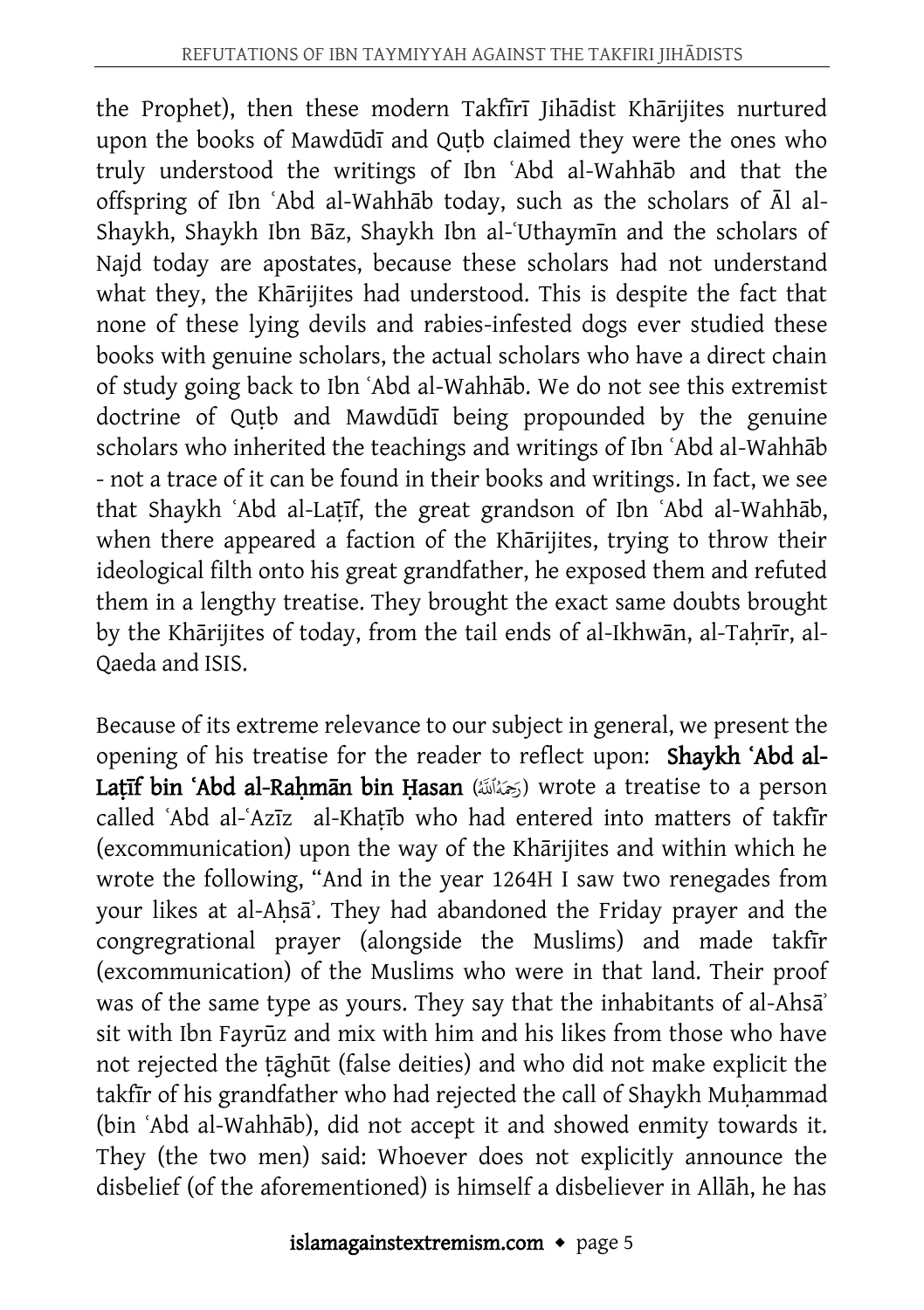the Prophet), then these modern Takfīrī Jihādist Khārijites nurtured upon the books of Mawdūdī and Quṭb claimed they were the ones who truly understood the writings of Ibn ʿAbd al-Wahhāb and that the offspring of Ibn ʿAbd al-Wahhāb today, such as the scholars of Āl al-Shaykh, Shaykh Ibn Bāz, Shaykh Ibn al-ʿUthaymīn and the scholars of Najd today are apostates, because these scholars had not understand what they, the Khārijites had understood. This is despite the fact that none of these lying devils and rabies-infested dogs ever studied these books with genuine scholars, the actual scholars who have a direct chain of study going back to Ibn ʿAbd al-Wahhāb. We do not see this extremist doctrine of Quṭb and Mawdūdī being propounded by the genuine scholars who inherited the teachings and writings of Ibn ʿAbd al-Wahhāb - not a trace of it can be found in their books and writings. In fact, we see that Shaykh ʿAbd al-Laṭīf, the great grandson of Ibn ʿAbd al-Wahhāb, when there appeared a faction of the Khārijites, trying to throw their ideological filth onto his great grandfather, he exposed them and refuted them in a lengthy treatise. They brought the exact same doubts brought by the Khārijites of today, from the tail ends of al-Ikhwān, al-Tahrīr, al-Qaeda and ISIS.

Because of its extreme relevance to our subject in general, we present the opening of his treatise for the reader to reflect upon: Shaykh ʿAbd al-Latīf bin ʿAbd al-Rahmān bin Hasan (حَمَنَالَلَهُ) wrote a treatise to a person called ʿAbd al-ʿAzīz al-Khaṭīb who had entered into matters of takfīr (excommunication) upon the way of the Khārijites and within which he wrote the following, "And in the year 1264H I saw two renegades from your likes at al-Ahsa<sup>2</sup>. They had abandoned the Friday prayer and the congregrational prayer (alongside the Muslims) and made takfīr (excommunication) of the Muslims who were in that land. Their proof was of the same type as yours. They say that the inhabitants of al-Ahsa<sup>'</sup> sit with Ibn Fayrūz and mix with him and his likes from those who have not rejected the ṭāghūt (false deities) and who did not make explicit the takfir of his grandfather who had rejected the call of Shaykh Muhammad (bin ʿAbd al-Wahhāb), did not accept it and showed enmity towards it. They (the two men) said: Whoever does not explicitly announce the disbelief (of the aforementioned) is himself a disbeliever in Allāh, he has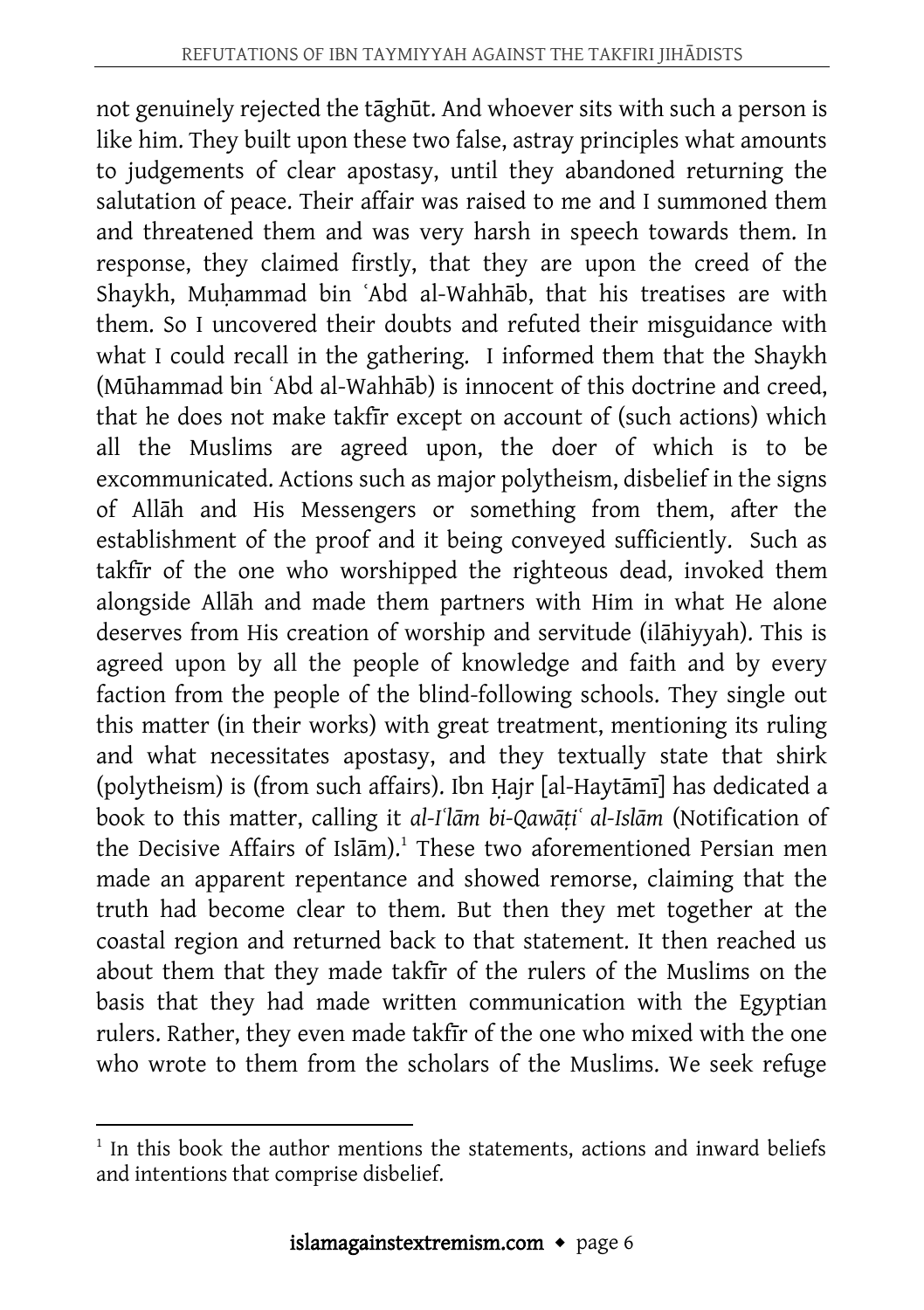not genuinely rejected the tāghūt. And whoever sits with such a person is like him. They built upon these two false, astray principles what amounts to judgements of clear apostasy, until they abandoned returning the salutation of peace. Their affair was raised to me and I summoned them and threatened them and was very harsh in speech towards them. In response, they claimed firstly, that they are upon the creed of the Shaykh, Muhammad bin `Abd al-Wahhāb, that his treatises are with them. So I uncovered their doubts and refuted their misguidance with what I could recall in the gathering. I informed them that the Shaykh (Mūhammad bin ʿAbd al-Wahhāb) is innocent of this doctrine and creed, that he does not make takfīr except on account of (such actions) which all the Muslims are agreed upon, the doer of which is to be excommunicated. Actions such as major polytheism, disbelief in the signs of Allāh and His Messengers or something from them, after the establishment of the proof and it being conveyed sufficiently. Such as takfīr of the one who worshipped the righteous dead, invoked them alongside Allāh and made them partners with Him in what He alone deserves from His creation of worship and servitude (ilāhiyyah). This is agreed upon by all the people of knowledge and faith and by every faction from the people of the blind-following schools. They single out this matter (in their works) with great treatment, mentioning its ruling and what necessitates apostasy, and they textually state that shirk (polytheism) is (from such affairs). Ibn Ḥajr [al-Haytāmī] has dedicated a book to this matter, calling it *al-Iʿlām bi-Qawāṭiʿ al-Islām* (Notification of the Decisive Affairs of Islām).<sup>1</sup> These two aforementioned Persian men made an apparent repentance and showed remorse, claiming that the truth had become clear to them. But then they met together at the coastal region and returned back to that statement. It then reached us about them that they made takfīr of the rulers of the Muslims on the basis that they had made written communication with the Egyptian rulers. Rather, they even made takfīr of the one who mixed with the one who wrote to them from the scholars of the Muslims. We seek refuge

 $\overline{a}$ <sup>1</sup> In this book the author mentions the statements, actions and inward beliefs and intentions that comprise disbelief.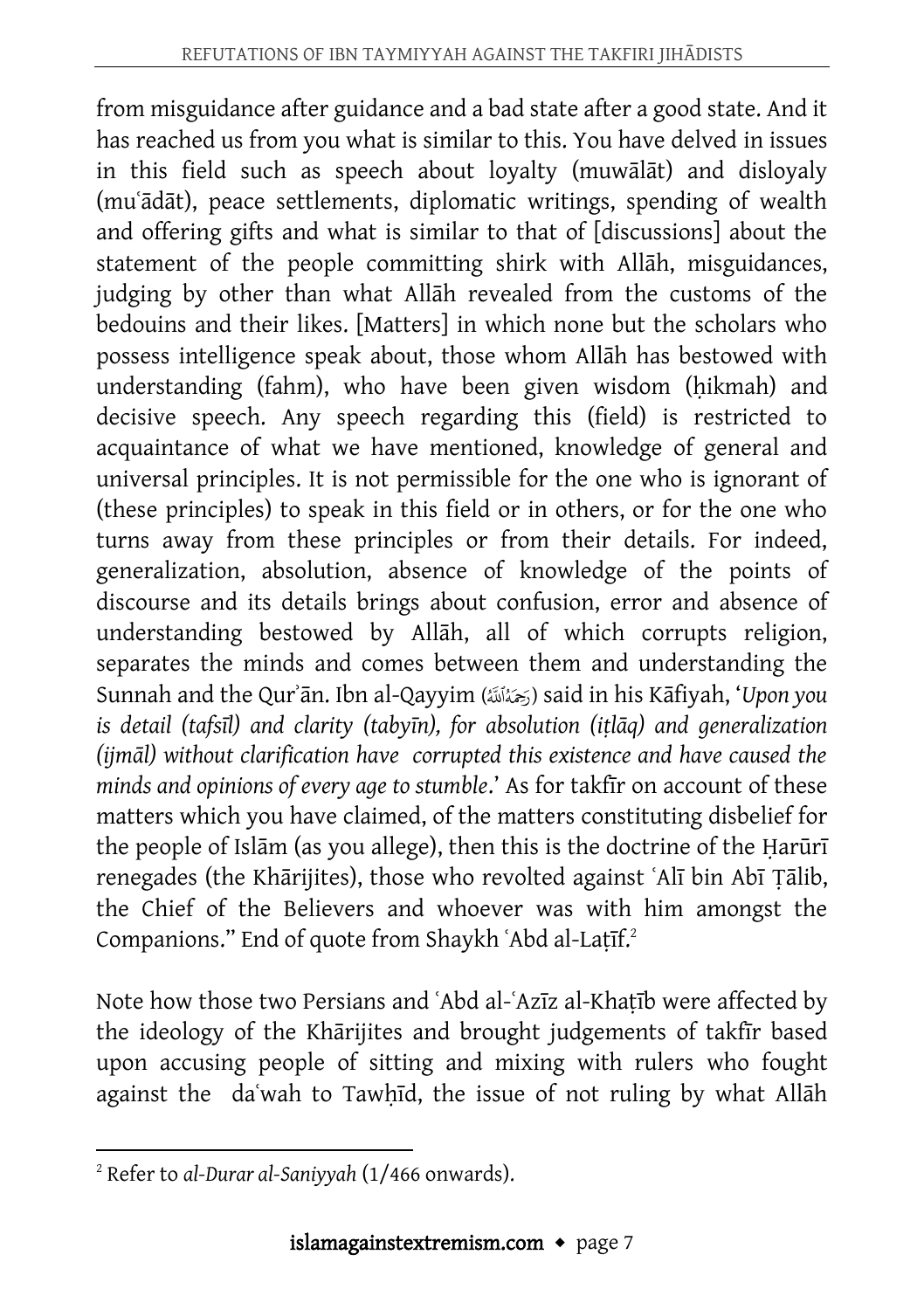from misguidance after guidance and a bad state after a good state. And it has reached us from you what is similar to this. You have delved in issues in this field such as speech about loyalty (muwālāt) and disloyaly (muʿādāt), peace settlements, diplomatic writings, spending of wealth and offering gifts and what is similar to that of [discussions] about the statement of the people committing shirk with Allāh, misguidances, judging by other than what Allāh revealed from the customs of the bedouins and their likes. [Matters] in which none but the scholars who possess intelligence speak about, those whom Allāh has bestowed with understanding (fahm), who have been given wisdom (hikmah) and decisive speech. Any speech regarding this (field) is restricted to acquaintance of what we have mentioned, knowledge of general and universal principles. It is not permissible for the one who is ignorant of (these principles) to speak in this field or in others, or for the one who turns away from these principles or from their details. For indeed, generalization, absolution, absence of knowledge of the points of discourse and its details brings about confusion, error and absence of understanding bestowed by Allāh, all of which corrupts religion, separates the minds and comes between them and understanding the Sunnah and the Qurʾān. Ibn al-Qayyim () said in his Kāfiyah, '*Upon you is detail (tafsīl) and clarity (tabyīn), for absolution (iṭlāq) and generalization (ijmāl) without clarification have corrupted this existence and have caused the minds and opinions of every age to stumble*.' As for takfīr on account of these matters which you have claimed, of the matters constituting disbelief for the people of Islām (as you allege), then this is the doctrine of the Ḥarūrī renegades (the Khārijites), those who revolted against ʿAlī bin Abī Ṭālib, the Chief of the Believers and whoever was with him amongst the Companions." End of quote from Shaykh ʿAbd al-Laṭīf.<sup>2</sup>

Note how those two Persians and ʿAbd al-ʿAzīz al-Khaṭīb were affected by the ideology of the Khārijites and brought judgements of takfīr based upon accusing people of sitting and mixing with rulers who fought against the daʿwah to Tawḥīd, the issue of not ruling by what Allāh

 $\overline{a}$ <sup>2</sup> Refer to *al-Durar al-Saniyyah* (1/466 onwards).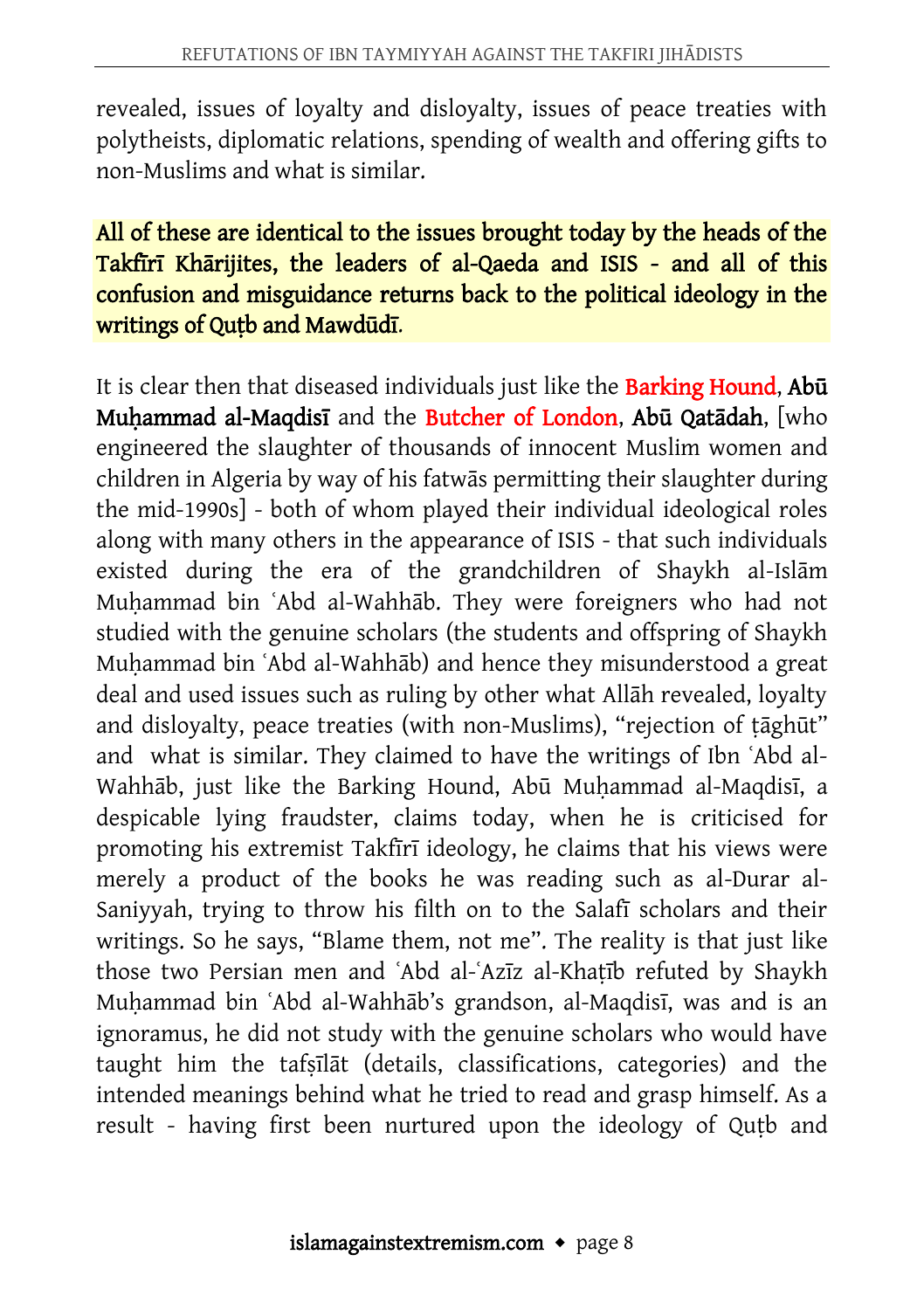revealed, issues of loyalty and disloyalty, issues of peace treaties with polytheists, diplomatic relations, spending of wealth and offering gifts to non-Muslims and what is similar.

#### All of these are identical to the issues brought today by the heads of the Takfīrī Khārijites, the leaders of al-Qaeda and ISIS - and all of this confusion and misguidance returns back to the political ideology in the writings of Qutb and Mawdūdī.

It is clear then that diseased individuals just like the Barking Hound, Abū Muḥammad al-Maqdisī and the Butcher of London, Abū Qatādah, [who engineered the slaughter of thousands of innocent Muslim women and children in Algeria by way of his fatwās permitting their slaughter during the mid-1990s] - both of whom played their individual ideological roles along with many others in the appearance of ISIS - that such individuals existed during the era of the grandchildren of Shaykh al-Islām Muhammad bin 'Abd al-Wahhāb. They were foreigners who had not studied with the genuine scholars (the students and offspring of Shaykh Muhammad bin `Abd al-Wahhāb) and hence they misunderstood a great deal and used issues such as ruling by other what Allāh revealed, loyalty and disloyalty, peace treaties (with non-Muslims), "rejection of ṭāghūt" and what is similar. They claimed to have the writings of Ibn ʿAbd al-Wahhāb, just like the Barking Hound, Abū Muḥammad al-Maqdisī, a despicable lying fraudster, claims today, when he is criticised for promoting his extremist Takfīrī ideology, he claims that his views were merely a product of the books he was reading such as al-Durar al-Saniyyah, trying to throw his filth on to the Salafī scholars and their writings. So he says, "Blame them, not me". The reality is that just like those two Persian men and ʿAbd al-ʿAzīz al-Khaṭīb refuted by Shaykh Muhammad bin `Abd al-Wahhāb's grandson, al-Maqdisī, was and is an ignoramus, he did not study with the genuine scholars who would have taught him the tafṣīlāt (details, classifications, categories) and the intended meanings behind what he tried to read and grasp himself. As a result - having first been nurtured upon the ideology of Quṭb and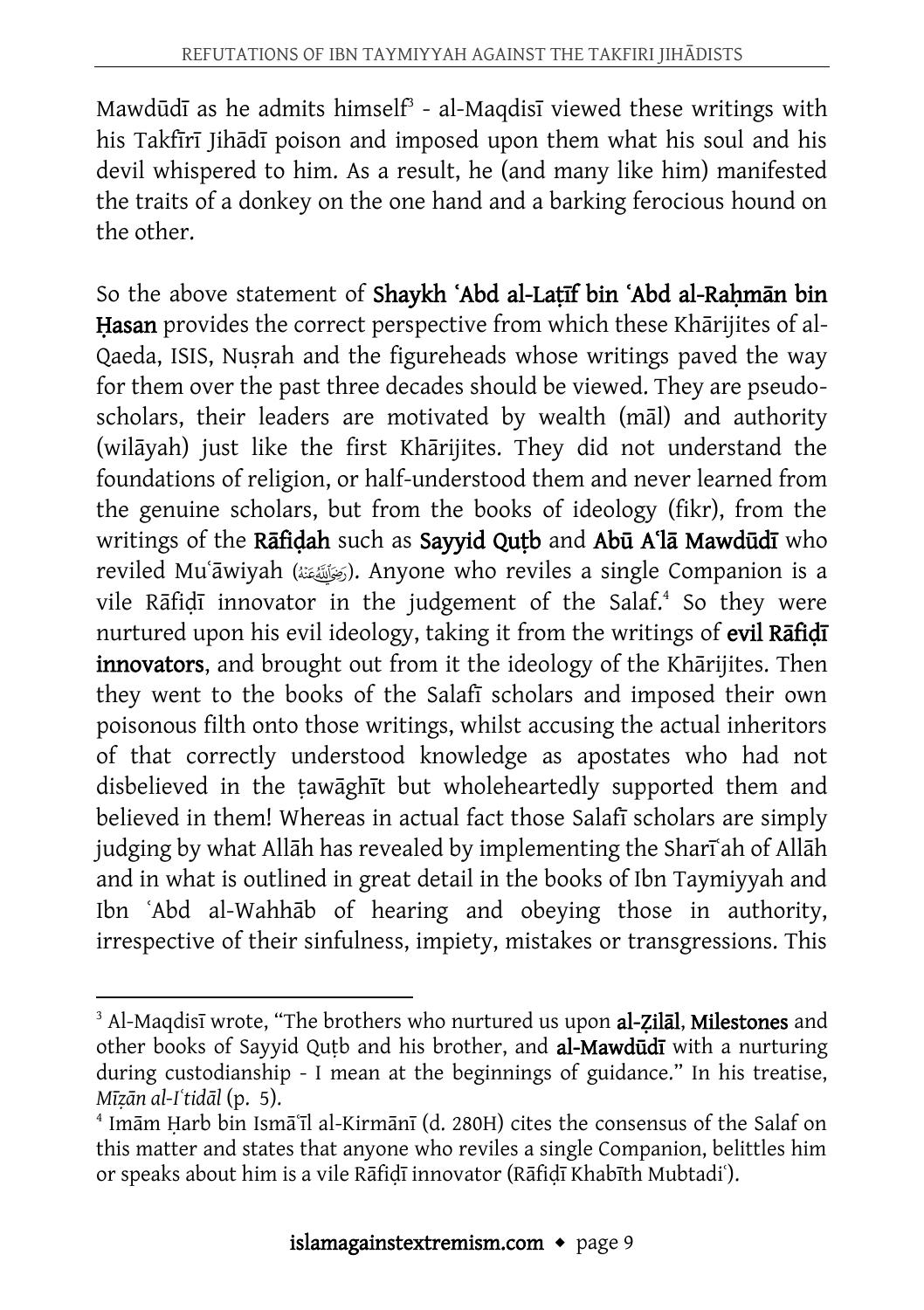Mawdūdī as he admits himself $3$  - al-Maqdisī viewed these writings with his Takfīrī Jihādī poison and imposed upon them what his soul and his devil whispered to him. As a result, he (and many like him) manifested the traits of a donkey on the one hand and a barking ferocious hound on the other.

So the above statement of Shaykh ʿAbd al-Laṭīf bin ʿAbd al-Raḥmān bin Hasan provides the correct perspective from which these Khārijites of al-Qaeda, ISIS, Nusrah and the figureheads whose writings paved the way for them over the past three decades should be viewed. They are pseudoscholars, their leaders are motivated by wealth (māl) and authority (wilāyah) just like the first Khārijites. They did not understand the foundations of religion, or half-understood them and never learned from the genuine scholars, but from the books of ideology (fikr), from the writings of the Rafidah such as Sayyid Qutb and Abū A'la Mawdūdī who reviled Muʿāwiyah (). Anyone who reviles a single Companion is a vile Rāfiḍī innovator in the judgement of the Salaf.<sup>4</sup> So they were nurtured upon his evil ideology, taking it from the writings of evil Rafidi innovators, and brought out from it the ideology of the Khārijites. Then they went to the books of the Salafī scholars and imposed their own poisonous filth onto those writings, whilst accusing the actual inheritors of that correctly understood knowledge as apostates who had not disbelieved in the tawāghīt but wholeheartedly supported them and believed in them! Whereas in actual fact those Salafī scholars are simply judging by what Allāh has revealed by implementing the Sharīʿah of Allāh and in what is outlined in great detail in the books of Ibn Taymiyyah and Ibn ʿAbd al-Wahhāb of hearing and obeying those in authority, irrespective of their sinfulness, impiety, mistakes or transgressions. This

 $\overline{a}$ <sup>3</sup> Al-Maqdisī wrote, "The brothers who nurtured us upon al-Zilāl, Milestones and other books of Sayyid Quṭb and his brother, and al-Mawdūdī with a nurturing during custodianship - I mean at the beginnings of guidance." In his treatise, *Mīẓān al-Iʿtidāl* (p. 5).

<sup>4</sup> Imām Ḥarb bin Ismāʿīl al-Kirmānī (d. 280H) cites the consensus of the Salaf on this matter and states that anyone who reviles a single Companion, belittles him or speaks about him is a vile Rāfiḍī innovator (Rāfiḍī Khabīth Mubtadiʿ).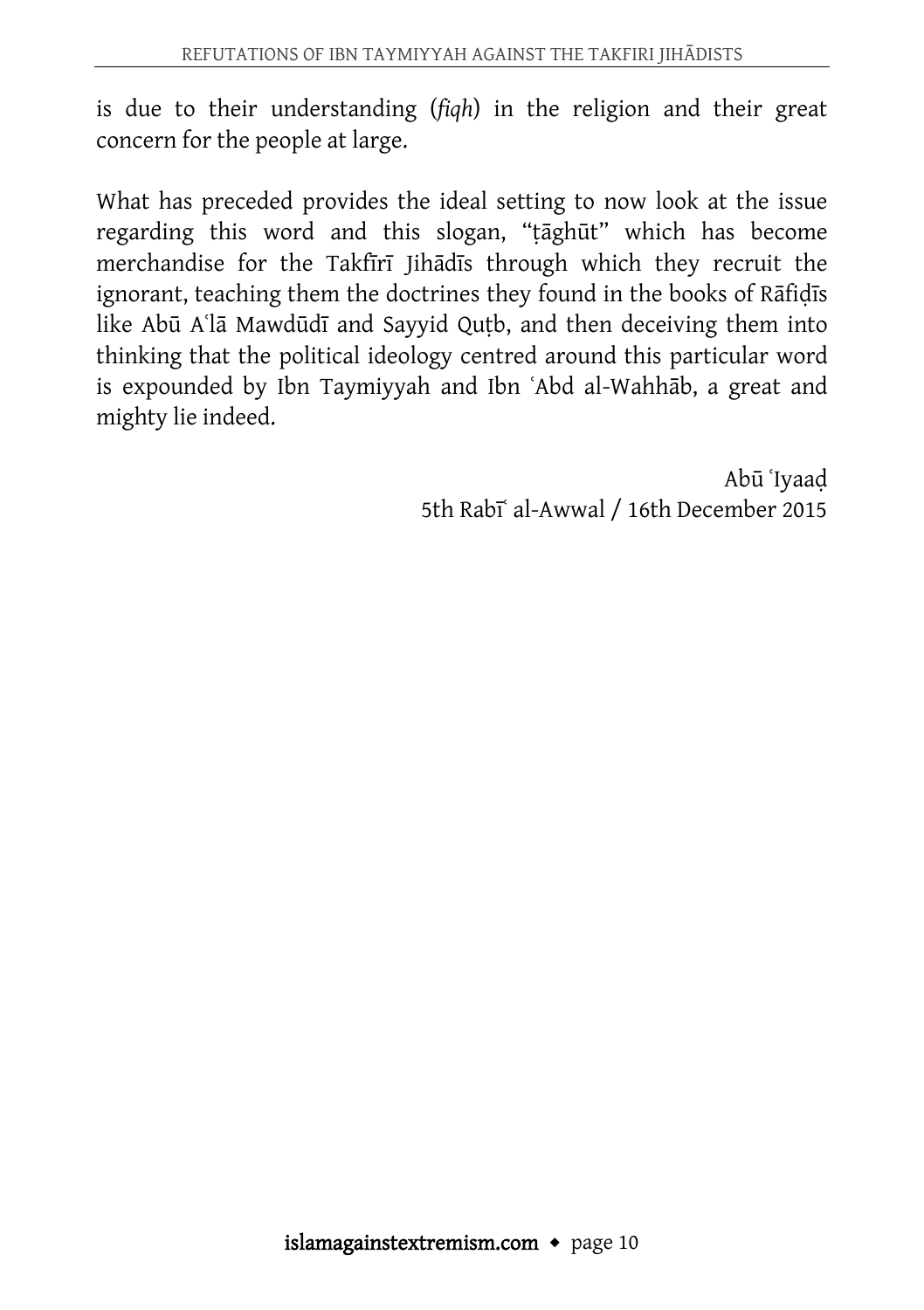is due to their understanding (*fiqh*) in the religion and their great concern for the people at large.

What has preceded provides the ideal setting to now look at the issue regarding this word and this slogan, "ṭāghūt" which has become merchandise for the Takfīrī Jihādīs through which they recruit the ignorant, teaching them the doctrines they found in the books of Rāfiḍīs like Abū A<sup>'</sup>lā Mawdūdī and Sayyid Qutb, and then deceiving them into thinking that the political ideology centred around this particular word is expounded by Ibn Taymiyyah and Ibn ʿAbd al-Wahhāb, a great and mighty lie indeed.

> Abū ʿIyaaḍ 5th Rabīʿ al-Awwal / 16th December 2015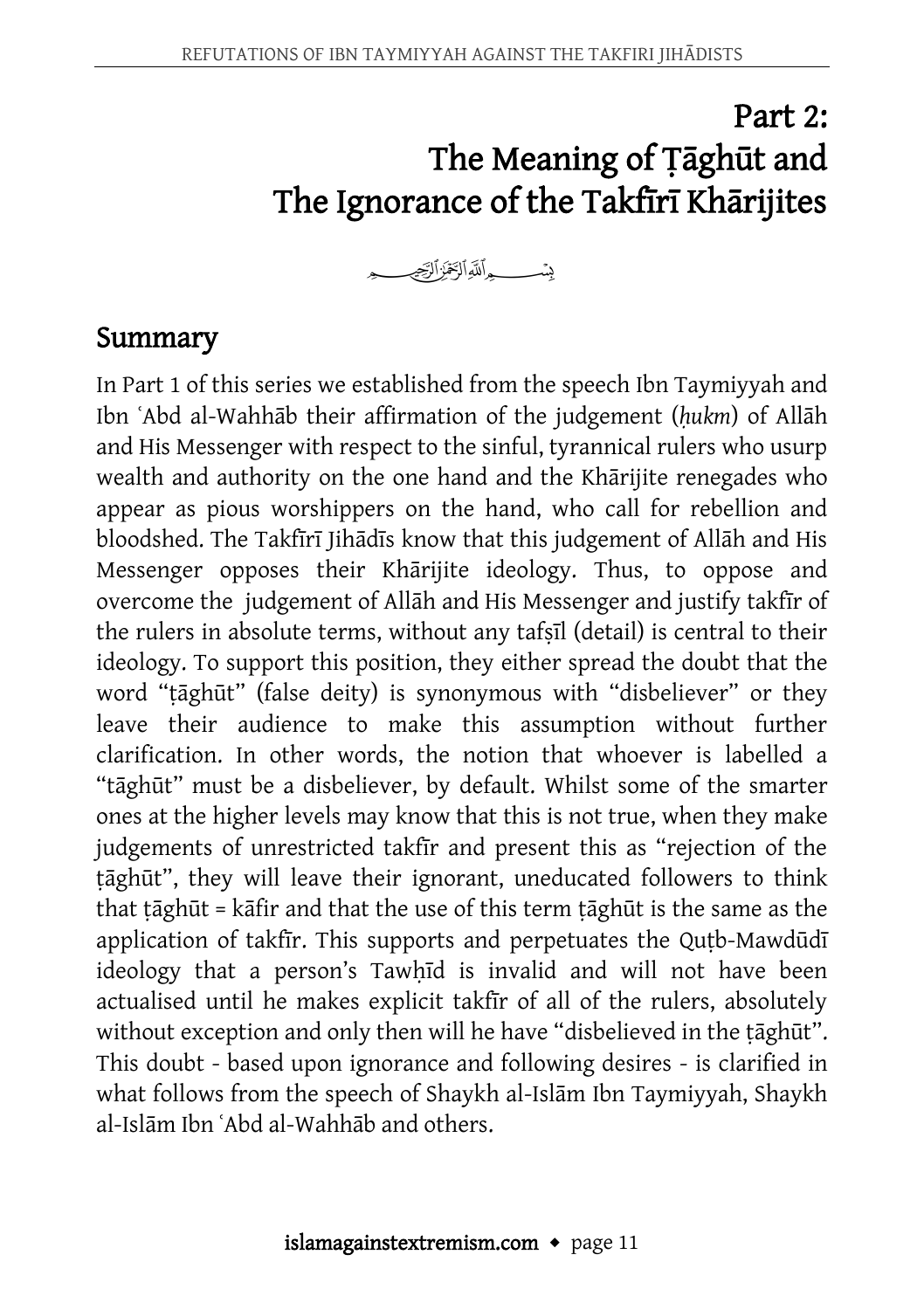# Part 2: The Meaning of Ṭāghūt and The Ignorance of the Takfīrī Khārijites

### Summary

In Part 1 of this series we established from the speech Ibn Taymiyyah and Ibn ʿAbd al-Wahhāb their affirmation of the judgement (*ḥukm*) of Allāh and His Messenger with respect to the sinful, tyrannical rulers who usurp wealth and authority on the one hand and the Khārijite renegades who appear as pious worshippers on the hand, who call for rebellion and bloodshed. The Takfīrī Jihādīs know that this judgement of Allāh and His Messenger opposes their Khārijite ideology. Thus, to oppose and overcome the judgement of Allāh and His Messenger and justify takfīr of the rulers in absolute terms, without any tafṣīl (detail) is central to their ideology. To support this position, they either spread the doubt that the word "ṭāghūt" (false deity) is synonymous with "disbeliever" or they leave their audience to make this assumption without further clarification. In other words, the notion that whoever is labelled a "tāghūt" must be a disbeliever, by default. Whilst some of the smarter ones at the higher levels may know that this is not true, when they make judgements of unrestricted takfīr and present this as "rejection of the ṭāghūt", they will leave their ignorant, uneducated followers to think that tāghūt = kāfir and that the use of this term tāghūt is the same as the application of takfir. This supports and perpetuates the Qutb-Mawdūdī ideology that a person's Tawhīd is invalid and will not have been actualised until he makes explicit takfīr of all of the rulers, absolutely without exception and only then will he have "disbelieved in the tāghūt". This doubt - based upon ignorance and following desires - is clarified in what follows from the speech of Shaykh al-Islām Ibn Taymiyyah, Shaykh al-Islām Ibn ʿAbd al-Wahhāb and others.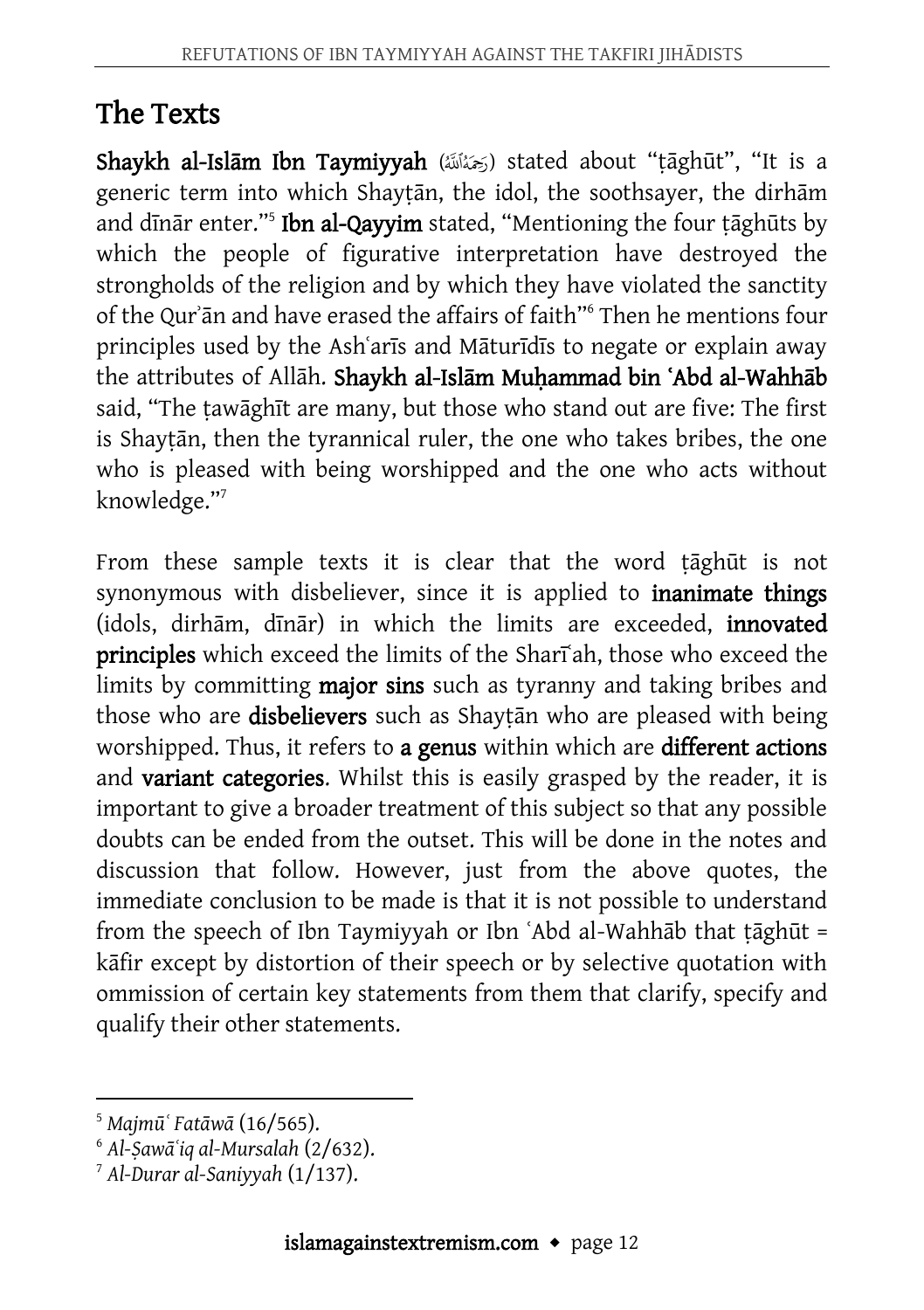## The Texts

Shaykh al-Islām Ibn Taymiyyah (رَحَمُنَاتَنَا) stated about "țāghūt", "It is a generic term into which Shayṭān, the idol, the soothsayer, the dirhām and dīnār enter."<sup>5</sup> I**bn al-Qayyim** stated, "Mentioning the four ṭāghūts by which the people of figurative interpretation have destroyed the strongholds of the religion and by which they have violated the sanctity of the Qurʾān and have erased the affairs of faith"<sup>6</sup> Then he mentions four principles used by the Ashʿarīs and Māturīdīs to negate or explain away the attributes of Allāh. Shaykh al-Islām Muhammad bin 'Abd al-Wahhāb said, "The tawāghīt are many, but those who stand out are five: The first is Shayṭān, then the tyrannical ruler, the one who takes bribes, the one who is pleased with being worshipped and the one who acts without knowledge."<sup>7</sup>

From these sample texts it is clear that the word tāghūt is not synonymous with disbeliever, since it is applied to *inanimate things* (idols, dirhām, dīnār) in which the limits are exceeded, innovated principles which exceed the limits of the Shari<sup>ah</sup>, those who exceed the limits by committing major sins such as tyranny and taking bribes and those who are **disbelievers** such as Shaytan who are pleased with being worshipped. Thus, it refers to a genus within which are different actions and variant categories. Whilst this is easily grasped by the reader, it is important to give a broader treatment of this subject so that any possible doubts can be ended from the outset. This will be done in the notes and discussion that follow. However, just from the above quotes, the immediate conclusion to be made is that it is not possible to understand from the speech of Ibn Taymiyyah or Ibn ʿAbd al-Wahhāb that ṭāghūt = kāfir except by distortion of their speech or by selective quotation with ommission of certain key statements from them that clarify, specify and qualify their other statements.

 $\overline{a}$ 

<sup>5</sup> *Majmūʿ Fatāwā* (16/565).

<sup>6</sup> *Al-Ṣawāʿiq al-Mursalah* (2/632).

<sup>7</sup> *Al-Durar al-Saniyyah* (1/137).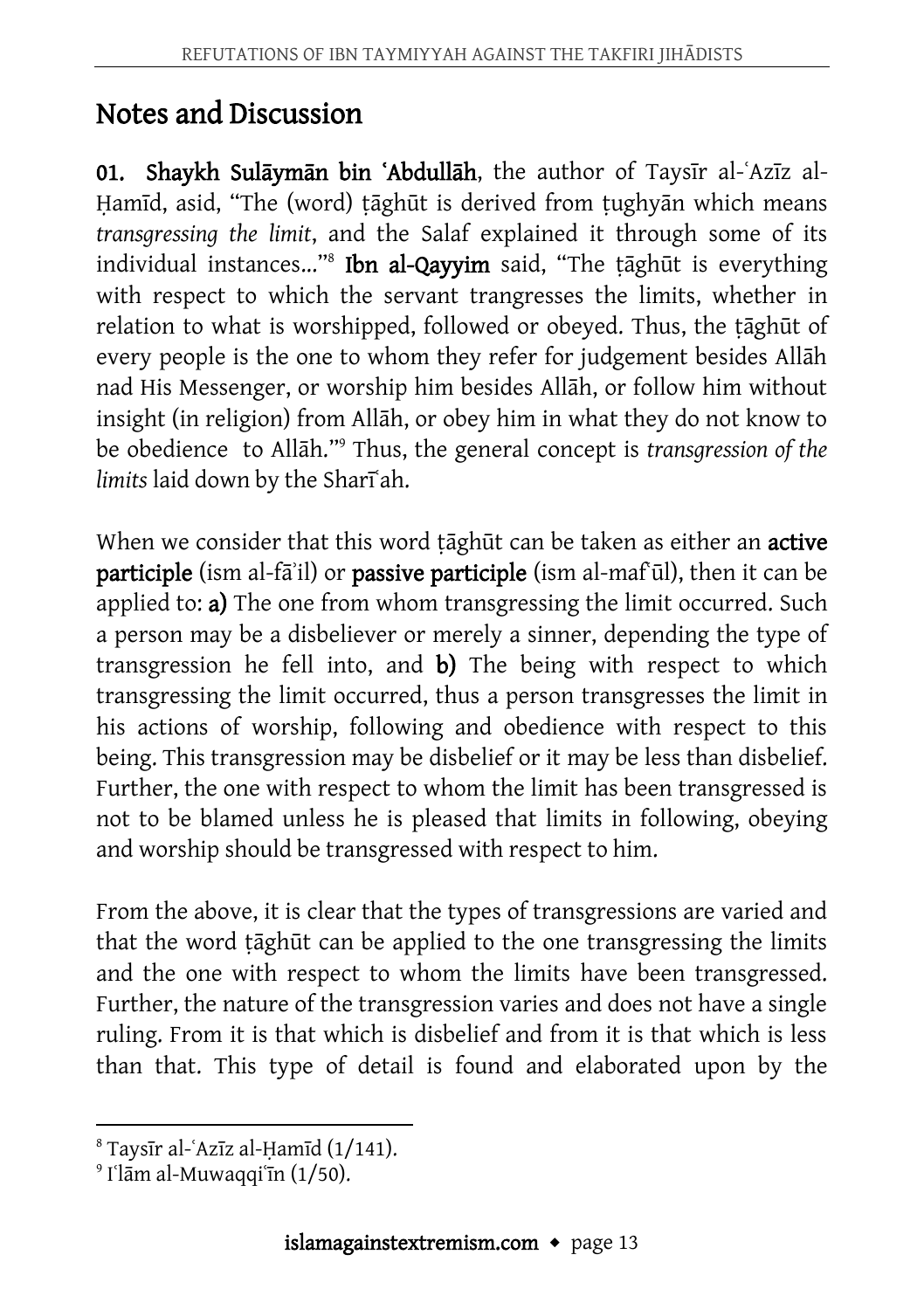## Notes and Discussion

01. Shaykh Sulāymān bin ʿAbdullāh, the author of Taysīr al-ʿAzīz al-Ḥamīd, asid, "The (word) ṭāghūt is derived from ṭughyān which means *transgressing the limit*, and the Salaf explained it through some of its individual instances..."<sup>8</sup> Ibn al-Qayyim said, "The ṭāghūt is everything with respect to which the servant trangresses the limits, whether in relation to what is worshipped, followed or obeyed. Thus, the ṭāghūt of every people is the one to whom they refer for judgement besides Allāh nad His Messenger, or worship him besides Allāh, or follow him without insight (in religion) from Allāh, or obey him in what they do not know to be obedience to Allāh." <sup>9</sup> Thus, the general concept is *transgression of the limits* laid down by the Sharīʿah.

When we consider that this word tāghūt can be taken as either an *active* participle (ism al-fāʾil) or passive participle (ism al-mafūl), then it can be applied to: a) The one from whom transgressing the limit occurred. Such a person may be a disbeliever or merely a sinner, depending the type of transgression he fell into, and b) The being with respect to which transgressing the limit occurred, thus a person transgresses the limit in his actions of worship, following and obedience with respect to this being. This transgression may be disbelief or it may be less than disbelief. Further, the one with respect to whom the limit has been transgressed is not to be blamed unless he is pleased that limits in following, obeying and worship should be transgressed with respect to him.

From the above, it is clear that the types of transgressions are varied and that the word ṭāghūt can be applied to the one transgressing the limits and the one with respect to whom the limits have been transgressed. Further, the nature of the transgression varies and does not have a single ruling. From it is that which is disbelief and from it is that which is less than that. This type of detail is found and elaborated upon by the

 $\overline{a}$ <sup>8</sup> Taysīr al-ʿAzīz al-Ḥamīd (1/141).

<sup>9</sup> Iʿlām al-Muwaqqiʿīn (1/50).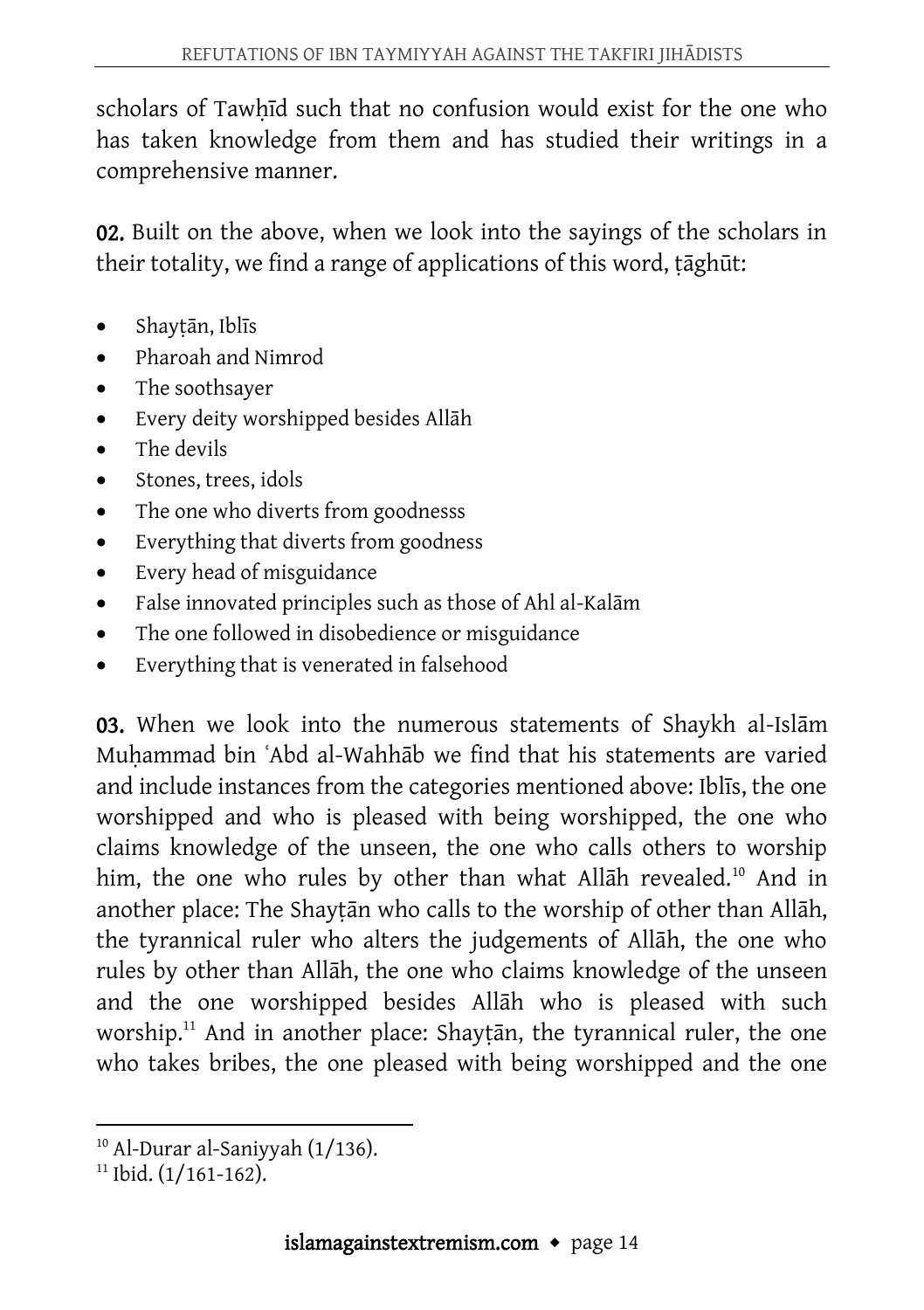scholars of Tawhīd such that no confusion would exist for the one who has taken knowledge from them and has studied their writings in a comprehensive manner.

02. Built on the above, when we look into the sayings of the scholars in their totality, we find a range of applications of this word, ṭāghūt:

- Shaytān, Iblīs
- Pharoah and Nimrod
- The soothsayer
- Every deity worshipped besides Allāh
- The devils
- Stones, trees, idols
- The one who diverts from goodnesss
- Everything that diverts from goodness
- Every head of misguidance
- False innovated principles such as those of Ahl al-Kalām
- The one followed in disobedience or misguidance
- Everything that is venerated in falsehood

03. When we look into the numerous statements of Shaykh al-Islām Muḥammad bin ʿAbd al-Wahhāb we find that his statements are varied and include instances from the categories mentioned above: Iblīs, the one worshipped and who is pleased with being worshipped, the one who claims knowledge of the unseen, the one who calls others to worship him, the one who rules by other than what Allah revealed.<sup>10</sup> And in another place: The Shayṭān who calls to the worship of other than Allāh, the tyrannical ruler who alters the judgements of Allāh, the one who rules by other than Allāh, the one who claims knowledge of the unseen and the one worshipped besides Allāh who is pleased with such worship.<sup>11</sup> And in another place: Shaytan, the tyrannical ruler, the one who takes bribes, the one pleased with being worshipped and the one

 $\overline{a}$ <sup>10</sup> Al-Durar al-Saniyyah (1/136).

 $11$  Ibid. (1/161-162).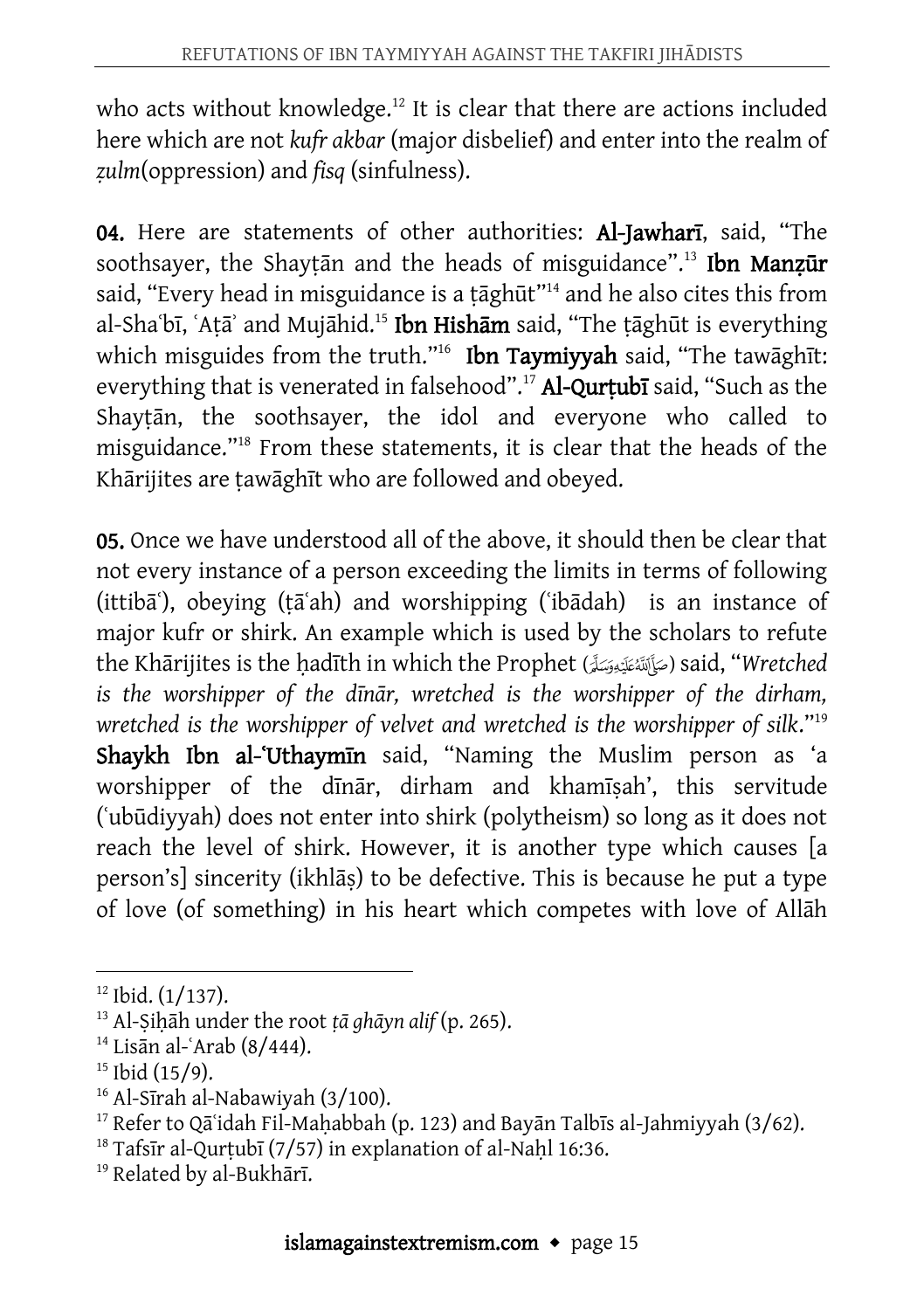who acts without knowledge.<sup>12</sup> It is clear that there are actions included here which are not *kufr akbar* (major disbelief) and enter into the realm of *ẓulm*(oppression) and *fisq* (sinfulness).

04. Here are statements of other authorities: Al-Jawharī, said, "The soothsayer, the Shaytan and the heads of misguidance".<sup>13</sup> Ibn Manzur said, "Every head in misguidance is a țāghūt"<sup>14</sup> and he also cites this from al-Shaʿbī, ʿAtāʾ and Mujāhid.<sup>15</sup> Ibn Hishām said, "The tāghūt is everything which misguides from the truth."<sup>16</sup> Ibn Taymiyyah said, "The tawāghīt: everything that is venerated in falsehood".<sup>17</sup> Al-Qurṭubī said, "Such as the Shayṭān, the soothsayer, the idol and everyone who called to misguidance."<sup>18</sup> From these statements, it is clear that the heads of the Khārijites are ṭawāghīt who are followed and obeyed.

05. Once we have understood all of the above, it should then be clear that not every instance of a person exceeding the limits in terms of following (ittibāʿ), obeying (ṭāʿah) and worshipping (ʿibādah) is an instance of major kufr or shirk. An example which is used by the scholars to refute the Khārijites is the ḥadīth in which the Prophet () said, "*Wretched is the worshipper of the dīnār, wretched is the worshipper of the dirham, wretched is the worshipper of velvet and wretched is the worshipper of silk*."<sup>19</sup> Shaykh Ibn al-'Uthaymīn said, "Naming the Muslim person as 'a worshipper of the dīnār, dirham and khamīṣah', this servitude (ʿubūdiyyah) does not enter into shirk (polytheism) so long as it does not reach the level of shirk. However, it is another type which causes [a person's] sincerity (ikhlāṣ) to be defective. This is because he put a type of love (of something) in his heart which competes with love of Allāh

 $\overline{a}$  $12$  Ibid. (1/137).

<sup>13</sup> Al-Ṣiḥāh under the root *ṭā ghāyn alif* (p. 265).

 $14$  Lisān al-ʿArab (8/444).

 $15$  Ibid (15/9).

<sup>16</sup> Al-Sīrah al-Nabawiyah (3/100).

<sup>&</sup>lt;sup>17</sup> Refer to Qā`idah Fil-Mahabbah (p. 123) and Bayān Talbīs al-Jahmiyyah (3/62).

 $18$  Tafsīr al-Qurtubī (7/57) in explanation of al-Nahl 16:36.

<sup>&</sup>lt;sup>19</sup> Related by al-Bukhārī.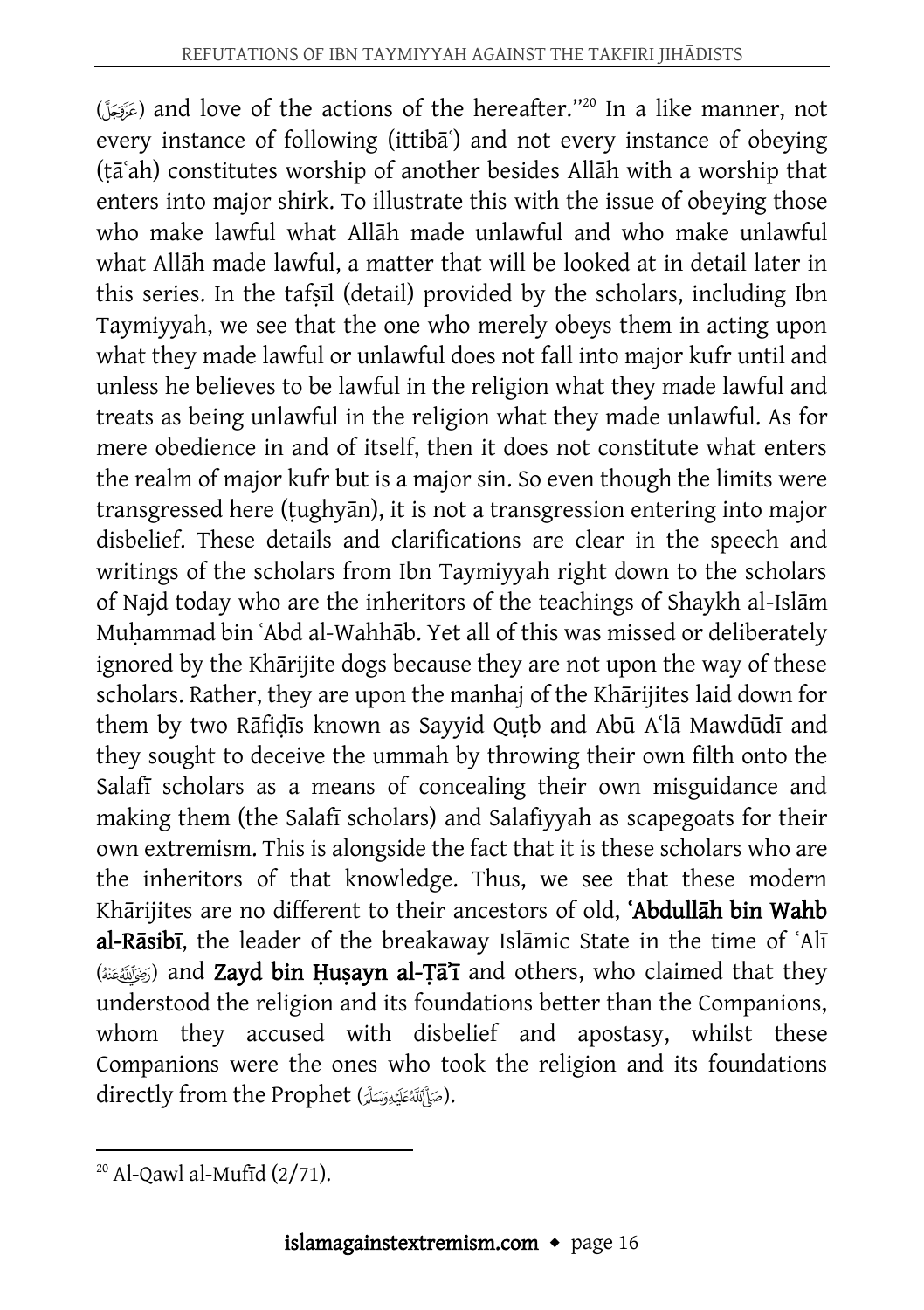() and love of the actions of the hereafter."<sup>20</sup> In a like manner, not every instance of following (ittiba<sup>s</sup>) and not every instance of obeying (ṭāʿah) constitutes worship of another besides Allāh with a worship that enters into major shirk. To illustrate this with the issue of obeying those who make lawful what Allāh made unlawful and who make unlawful what Allāh made lawful, a matter that will be looked at in detail later in this series. In the tafṣīl (detail) provided by the scholars, including Ibn Taymiyyah, we see that the one who merely obeys them in acting upon what they made lawful or unlawful does not fall into major kufr until and unless he believes to be lawful in the religion what they made lawful and treats as being unlawful in the religion what they made unlawful. As for mere obedience in and of itself, then it does not constitute what enters the realm of major kufr but is a major sin. So even though the limits were transgressed here (ṭughyān), it is not a transgression entering into major disbelief. These details and clarifications are clear in the speech and writings of the scholars from Ibn Taymiyyah right down to the scholars of Najd today who are the inheritors of the teachings of Shaykh al-Islām Muhammad bin 'Abd al-Wahhāb. Yet all of this was missed or deliberately ignored by the Khārijite dogs because they are not upon the way of these scholars. Rather, they are upon the manhaj of the Khārijites laid down for them by two Rāfiḍīs known as Sayyid Quṭb and Abū Aʿlā Mawdūdī and they sought to deceive the ummah by throwing their own filth onto the Salafī scholars as a means of concealing their own misguidance and making them (the Salafī scholars) and Salafiyyah as scapegoats for their own extremism. This is alongside the fact that it is these scholars who are the inheritors of that knowledge. Thus, we see that these modern Khārijites are no different to their ancestors of old, ʿAbdullāh bin Wahb al-Rāsibī, the leader of the breakaway Islāmic State in the time of ʿAlī ((صَلَقَةَ) and Zayd bin Husayn al-Ta<sup> $\tau$ </sup> and others, who claimed that they understood the religion and its foundations better than the Companions, whom they accused with disbelief and apostasy, whilst these Companions were the ones who took the religion and its foundations directly from the Prophet (صَأَلِللَّهُ عَلَيْهِ وَسَلَّمَ).

 $\overline{a}$  $20$  Al-Qawl al-Mufīd  $(2/71)$ .